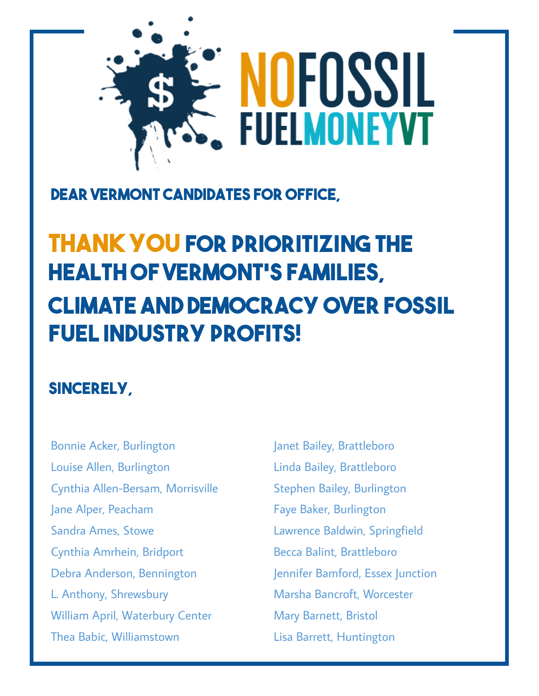

## **Dear Vermont Candidates for Office,**

## **THANK YOU for prioritizing the health of Vermont's families, climate and democracy over fossil fuel industry profits!**

## **Sincerely,**

Bonnie Acker, Burlington Louise Allen, Burlington Cynthia Allen-Bersam, Morrisville Jane Alper, Peacham Sandra Ames, Stowe Cynthia Amrhein, Bridport Debra Anderson, Bennington L. Anthony, Shrewsbury William April, Waterbury Center Thea Babic, Williamstown

Janet Bailey, Brattleboro Linda Bailey, Brattleboro Stephen Bailey, Burlington Faye Baker, Burlington Lawrence Baldwin, Springfield Becca Balint, Brattleboro Jennifer Bamford, Essex Junction Marsha Bancroft, Worcester Mary Barnett, Bristol Lisa Barrett, Huntington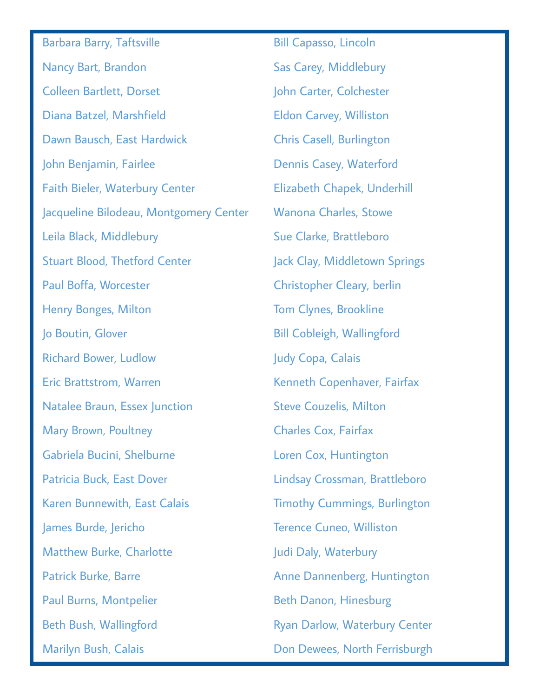Barbara Barry, Taftsville Nancy Bart, Brandon Colleen Bartlett, Dorset Diana Batzel, Marshfield Dawn Bausch, East Hardwick John Benjamin, Fairlee Faith Bieler, Waterbury Center Jacqueline Bilodeau, Montgomery Center Leila Black, Middlebury Stuart Blood, Thetford Center Paul Boffa, Worcester Henry Bonges, Milton Jo Boutin, Glover Richard Bower, Ludlow Eric Brattstrom, Warren Natalee Braun, Essex Junction Mary Brown, Poultney Gabriela Bucini, Shelburne Patricia Buck, East Dover Karen Bunnewith, East Calais James Burde, Jericho Matthew Burke, Charlotte Patrick Burke, Barre Paul Burns, Montpelier Beth Bush, Wallingford Marilyn Bush, Calais

Bill Capasso, Lincoln Sas Carey, Middlebury John Carter, Colchester Eldon Carvey, Williston Chris Casell, Burlington Dennis Casey, Waterford Elizabeth Chapek, Underhill Wanona Charles, Stowe Sue Clarke, Brattleboro Jack Clay, Middletown Springs Christopher Cleary, berlin Tom Clynes, Brookline Bill Cobleigh, Wallingford Judy Copa, Calais Kenneth Copenhaver, Fairfax Steve Couzelis, Milton Charles Cox, Fairfax Loren Cox, Huntington Lindsay Crossman, Brattleboro Timothy Cummings, Burlington Terence Cuneo, Williston Judi Daly, Waterbury Anne Dannenberg, Huntington Beth Danon, Hinesburg Ryan Darlow, Waterbury Center Don Dewees, North Ferrisburgh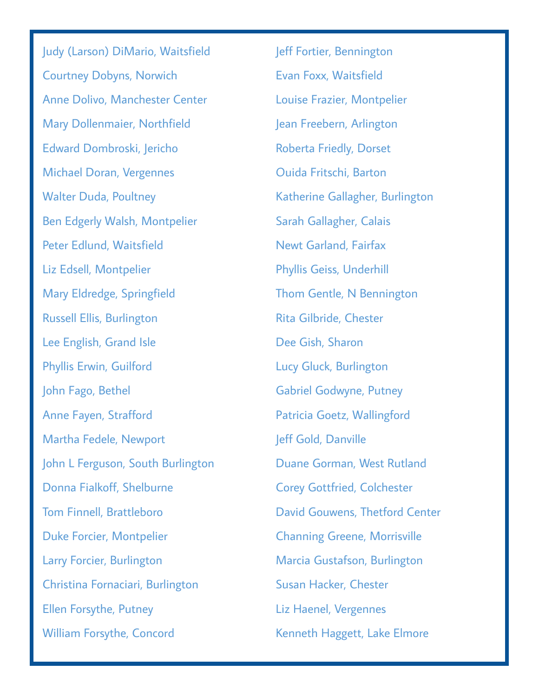Judy (Larson) DiMario, Waitsfield Courtney Dobyns, Norwich Anne Dolivo, Manchester Center Mary Dollenmaier, Northfield Edward Dombroski, Jericho Michael Doran, Vergennes Walter Duda, Poultney Ben Edgerly Walsh, Montpelier Peter Edlund, Waitsfield Liz Edsell, Montpelier Mary Eldredge, Springfield Russell Ellis, Burlington Lee English, Grand Isle Phyllis Erwin, Guilford John Fago, Bethel Anne Fayen, Strafford Martha Fedele, Newport John L Ferguson, South Burlington Donna Fialkoff, Shelburne Tom Finnell, Brattleboro Duke Forcier, Montpelier Larry Forcier, Burlington Christina Fornaciari, Burlington Ellen Forsythe, Putney William Forsythe, Concord

Jeff Fortier, Bennington Evan Foxx, Waitsfield Louise Frazier, Montpelier Jean Freebern, Arlington Roberta Friedly, Dorset Ouida Fritschi, Barton Katherine Gallagher, Burlington Sarah Gallagher, Calais Newt Garland, Fairfax Phyllis Geiss, Underhill Thom Gentle, N Bennington Rita Gilbride, Chester Dee Gish, Sharon Lucy Gluck, Burlington Gabriel Godwyne, Putney Patricia Goetz, Wallingford Jeff Gold, Danville Duane Gorman, West Rutland Corey Gottfried, Colchester David Gouwens, Thetford Center Channing Greene, Morrisville Marcia Gustafson, Burlington Susan Hacker, Chester Liz Haenel, Vergennes Kenneth Haggett, Lake Elmore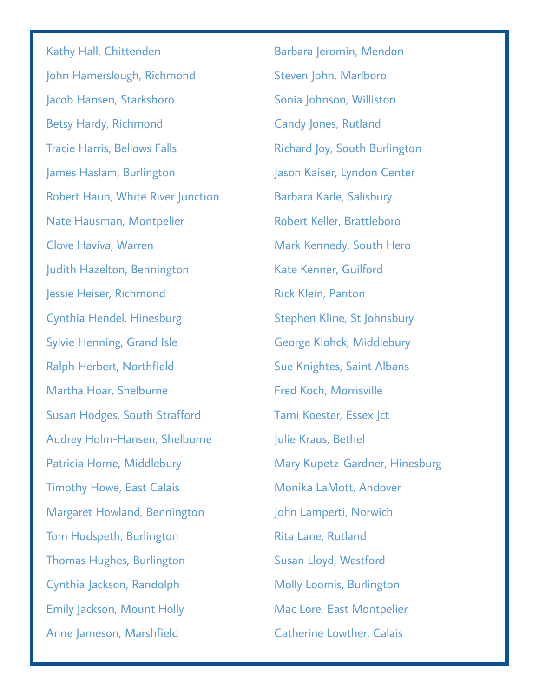Kathy Hall, Chittenden John Hamerslough, Richmond Jacob Hansen, Starksboro Betsy Hardy, Richmond Tracie Harris, Bellows Falls James Haslam, Burlington Robert Haun, White River Junction Nate Hausman, Montpelier Clove Haviva, Warren Judith Hazelton, Bennington Jessie Heiser, Richmond Cynthia Hendel, Hinesburg Sylvie Henning, Grand Isle Ralph Herbert, Northfield Martha Hoar, Shelburne Susan Hodges, South Strafford Audrey Holm-Hansen, Shelburne Patricia Horne, Middlebury Timothy Howe, East Calais Margaret Howland, Bennington Tom Hudspeth, Burlington Thomas Hughes, Burlington Cynthia Jackson, Randolph Emily Jackson, Mount Holly Anne Jameson, Marshfield

Barbara Jeromin, Mendon Steven John, Marlboro Sonia Johnson, Williston Candy Jones, Rutland Richard Joy, South Burlington Jason Kaiser, Lyndon Center Barbara Karle, Salisbury Robert Keller, Brattleboro Mark Kennedy, South Hero Kate Kenner, Guilford Rick Klein, Panton Stephen Kline, St Johnsbury George Klohck, Middlebury Sue Knightes, Saint Albans Fred Koch, Morrisville Tami Koester, Essex Jct Julie Kraus, Bethel Mary Kupetz-Gardner, Hinesburg Monika LaMott, Andover John Lamperti, Norwich Rita Lane, Rutland Susan Lloyd, Westford Molly Loomis, Burlington Mac Lore, East Montpelier Catherine Lowther, Calais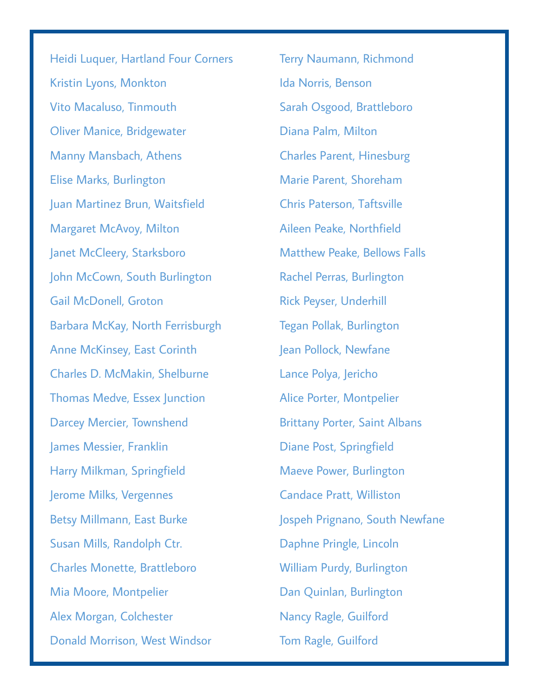Heidi Luquer, Hartland Four Corners Kristin Lyons, Monkton Vito Macaluso, Tinmouth Oliver Manice, Bridgewater Manny Mansbach, Athens Elise Marks, Burlington Juan Martinez Brun, Waitsfield Margaret McAvoy, Milton Janet McCleery, Starksboro John McCown, South Burlington Gail McDonell, Groton Barbara McKay, North Ferrisburgh Anne McKinsey, East Corinth Charles D. McMakin, Shelburne Thomas Medve, Essex Junction Darcey Mercier, Townshend James Messier, Franklin Harry Milkman, Springfield Jerome Milks, Vergennes Betsy Millmann, East Burke Susan Mills, Randolph Ctr. Charles Monette, Brattleboro Mia Moore, Montpelier Alex Morgan, Colchester Donald Morrison, West Windsor

Terry Naumann, Richmond Ida Norris, Benson Sarah Osgood, Brattleboro Diana Palm, Milton Charles Parent, Hinesburg Marie Parent, Shoreham Chris Paterson, Taftsville Aileen Peake, Northfield Matthew Peake, Bellows Falls Rachel Perras, Burlington Rick Peyser, Underhill Tegan Pollak, Burlington Jean Pollock, Newfane Lance Polya, Jericho Alice Porter, Montpelier Brittany Porter, Saint Albans Diane Post, Springfield Maeve Power, Burlington Candace Pratt, Williston Jospeh Prignano, South Newfane Daphne Pringle, Lincoln William Purdy, Burlington Dan Quinlan, Burlington Nancy Ragle, Guilford Tom Ragle, Guilford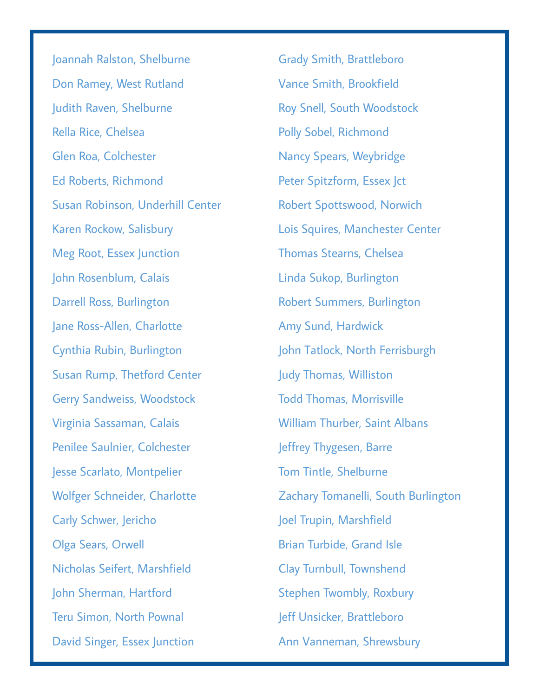Joannah Ralston, Shelburne Don Ramey, West Rutland Judith Raven, Shelburne Rella Rice, Chelsea Glen Roa, Colchester Ed Roberts, Richmond Susan Robinson, Underhill Center Karen Rockow, Salisbury Meg Root, Essex Junction John Rosenblum, Calais Darrell Ross, Burlington Jane Ross-Allen, Charlotte Cynthia Rubin, Burlington Susan Rump, Thetford Center Gerry Sandweiss, Woodstock Virginia Sassaman, Calais Penilee Saulnier, Colchester Jesse Scarlato, Montpelier Wolfger Schneider, Charlotte Carly Schwer, Jericho Olga Sears, Orwell Nicholas Seifert, Marshfield John Sherman, Hartford Teru Simon, North Pownal David Singer, Essex Junction

Grady Smith, Brattleboro Vance Smith, Brookfield Roy Snell, South Woodstock Polly Sobel, Richmond Nancy Spears, Weybridge Peter Spitzform, Essex Jct Robert Spottswood, Norwich Lois Squires, Manchester Center Thomas Stearns, Chelsea Linda Sukop, Burlington Robert Summers, Burlington Amy Sund, Hardwick John Tatlock, North Ferrisburgh Judy Thomas, Williston Todd Thomas, Morrisville William Thurber, Saint Albans Jeffrey Thygesen, Barre Tom Tintle, Shelburne Zachary Tomanelli, South Burlington Joel Trupin, Marshfield Brian Turbide, Grand Isle Clay Turnbull, Townshend Stephen Twombly, Roxbury Jeff Unsicker, Brattleboro Ann Vanneman, Shrewsbury